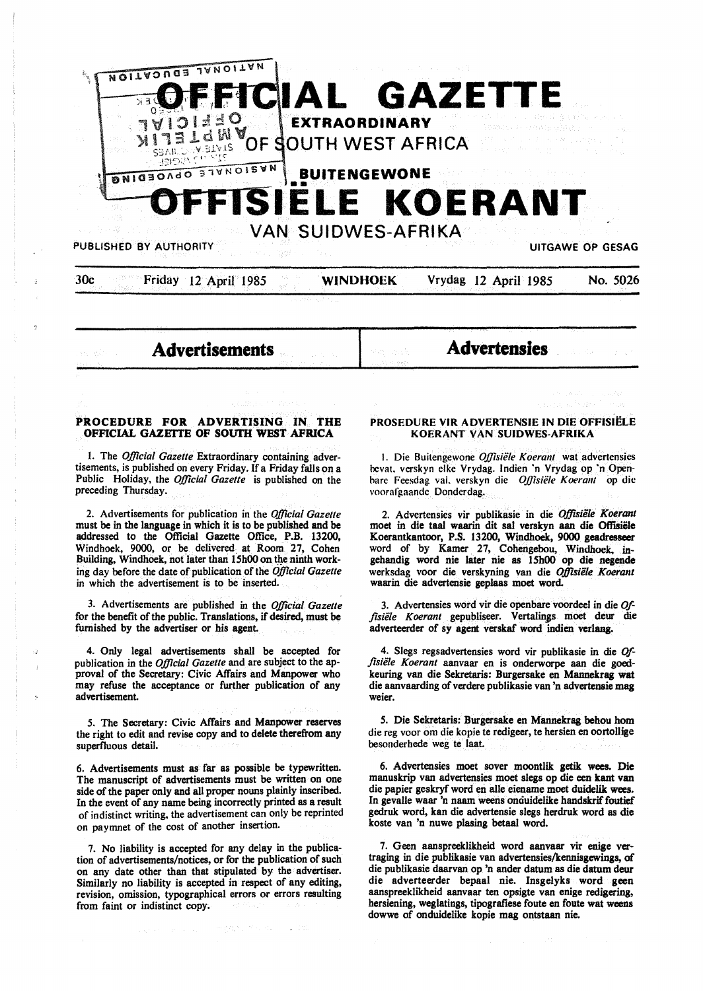

**Advertisements** 

**Advertensies** 

## **PROCEDURE FOR ADVERTISING IN THE OFFICIAL GAZEITE OF SOUTH WEST AFRICA**

I. The *Official Gazette* Extraordinary containing advertisements, is published on every Friday. If a Friday falls on a Public Holiday, the *Official Gazette* is published on the preceding Thursday.

2. Advertisements for publication in the *Official Gazette*  must be in the language in which it is to be published and be addressed to the Official Gazette Office, P.B. 13200, Windhoek, 9000, or be delivered. at Room 27, Cohen Building. Windhoek, not later than 15h00 on the ninth working day before the date of publication of the *Official Gazette*  in which the advertisement is to be inserted.

3. Advertisements are published in the *Official Gazette*  for the benefit of the public. Translations. if desired, must be furnished by the advertiser or his agent.

4. Only legal advertisements shall be accepted for publication in the *Official Gazette* and are subject to the approval of the Secretary: Civic Affairs and Manpower who may refuse the acceptance or further publication of any advertisement.

*5.* The Secretary: Civic Affairs and Manpower reserves the right to edit and revise copy and to delete therefrom any superfluous detail.

6. Advertisements must as far as possible be typewritten. The manuscript of advertisements must be written on one side of the paper only and all proper nouns plainly inscribed. In the event of any name being incorrectly printed as **a** result of indistinct writing, the advertisement can only be reprinted on paymnet of the cost of another insertion.

7. No liability is accepted for any delay in the publication of advertisements/notices, or for the publication of such on any date other than that stipulated by the advertiser. Similarly no liability is accepted in respect of any editing, revision, omission, typographical errors or errors resulting from faint or indistinct copy.

## **PROSEDURE VIR ADVERTENSIE IN DIE OFFISiELE KOERANT VAN SUIDWES-AFRIKA**

I. Die Buitengewone *OJ]isiele Koerant* wat advertensies bevat. verskyn elke Vrydag. lndien ·n Vrydag op ·n Openbare Feesdag val. verskyn die *Offisiële Koerant* op die voorafgaande Donderdag.

2. Advertensies vir publikasie in die *0/fisiele Koerant*  moet in die taal waarin dit sal verskyn aan die Offisiële Koerantkantoor, P.S. 13200, Windhoek. **9000 geadresseer**  word of by Kamer 27, Cohengebou, Windhoek, ingehandig word nie later nie as 15h00 op die negende werksdag voor die verskyning van die *Offisiele Koerant*  waarin die advertensie gepJaas moet word.

3. Advertensies word vir die openbare voordeel in die *Ofj,siele Koerant* gepubliseer. Vertalin\_gs moet deur die adverteerder of sy agent verskaf word indien verlang.

4. Slegs regsadvertensies word vir publikasie in die *Offlsiele Koerant* aanvaar en is onderworpe aan die goedkeuring van die Sekretaris: Burgersake en Mannekrag wat die aanvaarding of verdere publikasie van 'n advertensie mag weier.

*5.* Die Sekretaris: Burgersake en Mannekrag behou hom die reg voor om die kopie te redigeer, te hersien en oortollige besonderhede weg te laat.

6. Advertensies moet sover moontlik **getik wees.** Die manuskrip van advertensies moet slegs op die een kant van die papier geskryf word en alle eiename moet duidelik wees. In gevalle waar 'n naam weens onciuidelike handskrif foutief gedruk word. kan die advertensie slegs herdruk word as die koste van 'n nuwe plasing betaal word.

7. Geen aanspreeklikheid word aanvaar vir enige vertraging in die publikasie van advertensies/kennisgewings, of die publikasie daarvan op 'n ander datum as die datum deur die adverteerder bepaal nie. Insgelyks word geen aanspreeklikheid aanvaar ten opsigte van enige redigering, hersiening, weglatings, tipografiese foute en foute wat weens dowwe of onduidelike kopie mag ontstaan nie.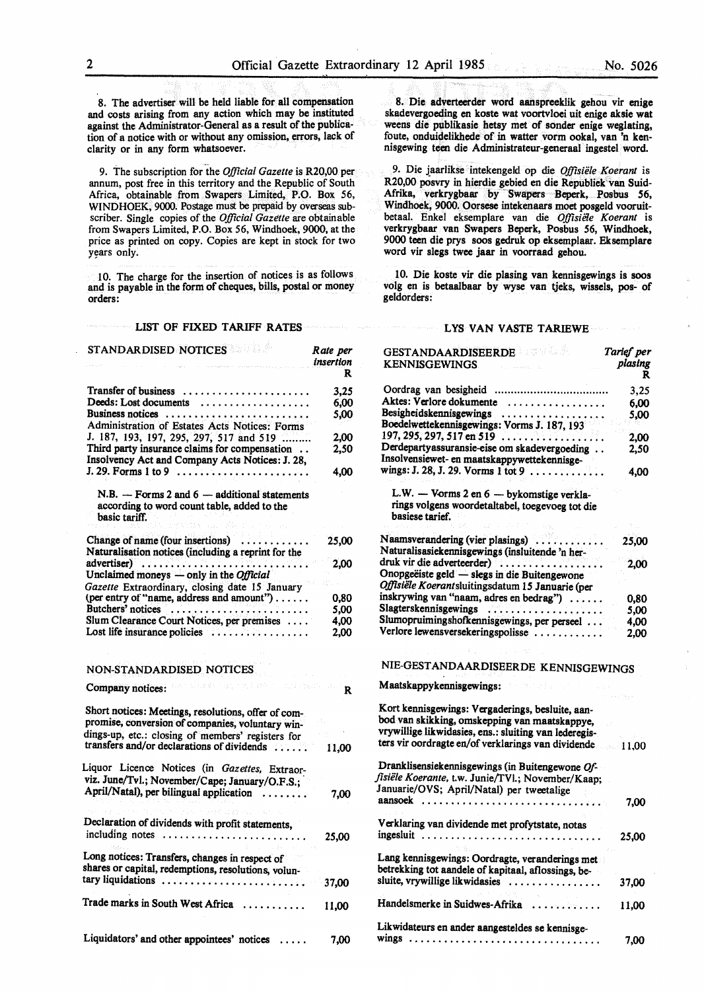*Tarlef per* 

8. The advertiser will be held liable for all compensation and costs arising from any action which may be instituted against the Administrator-General as a result of the publication of a notice with or without any omission, errors, lack of clarity or in any form whatsoever.

9. The subscription for the *Official Gazette* is R20,00 per annum, post free in this territory and the Republic of South Africa, obtainable from Swapers Limited, P.O. Box 56, WINDHOEK, 9000. Postage must be prepaid by overseas subscriber. Single copies of the *Official Gazette* are obtainable from Swapers Limited, P.O. Box 56, Windhoek, 9000, at the price as printed on copy. Copies are kept in stock for two years only.

IO. The charge for the insertion of notices is as follows and is payable in the form of cheques, bills, postal or money orders:

#### $\label{eq:1} \left\langle \hat{N}(\hat{\sigma})\right\rangle_{\rm D} \approx \left\langle \hat{\gamma}_{\rm NL} - \hat{\gamma}_{\rm L} \right\rangle_{\rm D} \approx \hat{\gamma}_{\rm NL}$ LIST OF FIXED TARIFF RATES

| STANDAR DISED NOTICES                                                                                                                                                                                      | Rate per<br>insertion<br>R      |
|------------------------------------------------------------------------------------------------------------------------------------------------------------------------------------------------------------|---------------------------------|
| Transfer of business                                                                                                                                                                                       | 3.25                            |
| Deeds: Lost documents $\dots \dots \dots \dots \dots \dots$                                                                                                                                                | 6.00                            |
| Business notices                                                                                                                                                                                           | 5,00                            |
| Administration of Estates Acts Notices: Forms                                                                                                                                                              |                                 |
| J. 187, 193, 197, 295, 297, 517 and 519                                                                                                                                                                    | 2,00                            |
| Third party insurance claims for compensation<br>Insolvency Act and Company Acts Notices: J. 28,                                                                                                           | 2,50                            |
| $J. 29.$ Forms 1 to 9 $\ldots \ldots \ldots \ldots \ldots \ldots$                                                                                                                                          | 4,00                            |
| $N.B. - Forms 2 and 6 - additional statements$<br>according to word count table, added to the<br>basic tariff.                                                                                             |                                 |
|                                                                                                                                                                                                            |                                 |
| Change of name (four insertions)<br>Naturalisation notices (including a reprint for the                                                                                                                    | 25,00                           |
|                                                                                                                                                                                                            | 2,00                            |
|                                                                                                                                                                                                            | $\sim$                          |
| Gazette Extraordinary, closing date 15 January<br>(per entry of "name, address and amount")                                                                                                                |                                 |
| Butchers' notices                                                                                                                                                                                          | 0,80<br>5,00                    |
| Slum Clearance Court Notices, per premises                                                                                                                                                                 | 4,00                            |
| Lost life insurance policies $\dots \dots \dots \dots$                                                                                                                                                     | 2,00                            |
| NON-STANDARDISED NOTICES<br>allegate may problem to the<br>Company notices:                                                                                                                                | $\mathbb{R}^{\mathbb{Z}_{2}}$ R |
| Short notices: Meetings, resolutions, offer of com-<br>promise, conversion of companies, voluntary win-<br>dings-up, etc.: closing of members' registers for<br>transfers and/or declarations of dividends | 11,00                           |
| Liquor Licence Notices (in Gazettes, Extraor-                                                                                                                                                              |                                 |
| viz. June/Tvl.; November/Cape; January/O.F.S.;                                                                                                                                                             |                                 |
| April/Natal), per bilingual application<br>.                                                                                                                                                               | 7,00                            |
|                                                                                                                                                                                                            |                                 |
| Declaration of dividends with profit statements,<br>including notes                                                                                                                                        | 25,00                           |
|                                                                                                                                                                                                            |                                 |
| Long notices: Transfers, changes in respect of<br>shares or capital, redemptions, resolutions, volun-                                                                                                      |                                 |
| tary liquidations                                                                                                                                                                                          | 37,00                           |
| Trade marks in South West Africa                                                                                                                                                                           | 11.00                           |
| Liquidators' and other appointees' notices                                                                                                                                                                 | 7,00                            |

8. Die adverteerder word aanspreeklik gehou vir enige skadevergoeding en koste wat voortvloei uit enige aksie wat weens die publikasie hetsy met of sonder enige weglating, foute, onduidelikhede of in watter vorm ookal, van 'n kennisgewing teen die Administrateur-generaal ingestel word.

9. Die jaarlikse intekengeld op die *Offisiele Koerant* is R20,00 posvry in hierdie gebied en die Republiek van Suid-Afrika, verkrygbaar by Swapers Beperk, Posbus 56, Windhoek, 9000. Oorsese intekenaars moet posgeld vooruitbetaal. Enke! eksemplare van die *Offisiele Koerant* is verkrygbaar van Swapers Beperk, Posbus 56, Windhoek, 9000 teen die prys soos gedruk op eksemplaar. Eksemplare word vir slegs twee jaar in voorraad gehou.

10. Die koste vir die plasing van kennisgewings is soos volg en is betaalbaar by wyse van tjeks, wissels, pos- of geldorders:

#### LYS VAN VASTE TARIEWE

| <b>GESTANDAARDISEERDE EEN SEEMILISTE STANDAARDISEERDE</b><br><b>KENNISGEWINGS</b>                                                                                                                                      | Tarief per<br>plasing<br>R |
|------------------------------------------------------------------------------------------------------------------------------------------------------------------------------------------------------------------------|----------------------------|
| Oordrag van besigheid                                                                                                                                                                                                  | 3,25                       |
| Aktes: Verlore dokumente                                                                                                                                                                                               | 6,00                       |
|                                                                                                                                                                                                                        | 5,00                       |
| Besigheidskennisgewings<br>Boedelwettekennisgewings: Vorms J. 187, 193                                                                                                                                                 |                            |
| $197, 295, 297, 517$ en 519                                                                                                                                                                                            | 2.00                       |
| Derdepartyassuransie-eise om skadevergoeding<br>Insolvensiewet- en maatskappywettekennisge-                                                                                                                            | 2,50                       |
| wings: J. 28, J. 29. Vorms 1 tot 9                                                                                                                                                                                     | 4,00                       |
| L.W. - Vorms 2 en 6 - bykomstige verkla-<br>rings volgens woordetaltabel, toegevoeg tot die                                                                                                                            |                            |
| basiese tarief.                                                                                                                                                                                                        |                            |
| Naamsverandering (vier plasings)<br>Naturalisasiekennisgewings (insluitende 'n her-                                                                                                                                    | 25,00                      |
| druk vir die adverteerder) <sup>7</sup>                                                                                                                                                                                | 2.00                       |
| Onopgeëiste geld — slegs in die Buitengewone<br>Offisiële Koerantsluitingsdatum 15 Januarie (per                                                                                                                       |                            |
| inskrywing van "naam, adres en bedrag")                                                                                                                                                                                | 0,80                       |
| Slagterskennisgewings                                                                                                                                                                                                  | 5,00                       |
| Slumopruimingshofkennisgewings, per perseel                                                                                                                                                                            | 4.00                       |
| Verlore lewensversekeringspolisse                                                                                                                                                                                      | 2,00                       |
| NIE-GESTANDAARDISEERDE KENNISGEWINGS                                                                                                                                                                                   |                            |
| Maatskappykennisgewings:                                                                                                                                                                                               |                            |
| Kort kennisgewings: Vergaderings, besluite, aan-<br>bod van skikking, omskepping van maatskappye,<br>vrywillige likwidasies, ens.: sluiting van lederegis-<br>ters vir oordragte en/of verklarings van dividende 11,00 |                            |
| Dranklisensiekennisgewings (in Buitengewone Of-<br>fisiële Koerante, t.w. Junie/TVl.; November/Kaap;<br>Januarie/OVS; April/Natal) per tweetalige                                                                      |                            |
|                                                                                                                                                                                                                        | 7,00                       |
| Verklaring van dividende met profytstate, notas<br>ingesluit                                                                                                                                                           | 25,00                      |
| Lang kennisgewings: Oordragte, veranderings met<br>betrekking tot aandele of kapitaal, aflossings, be-                                                                                                                 |                            |
| sluite, vrywillige likwidasies                                                                                                                                                                                         | 37,00                      |
| Handelsmerke in Suidwes-Afrika                                                                                                                                                                                         | 11.00                      |
| Likwidateurs en ander aangesteldes se kennisge-                                                                                                                                                                        | 7,00                       |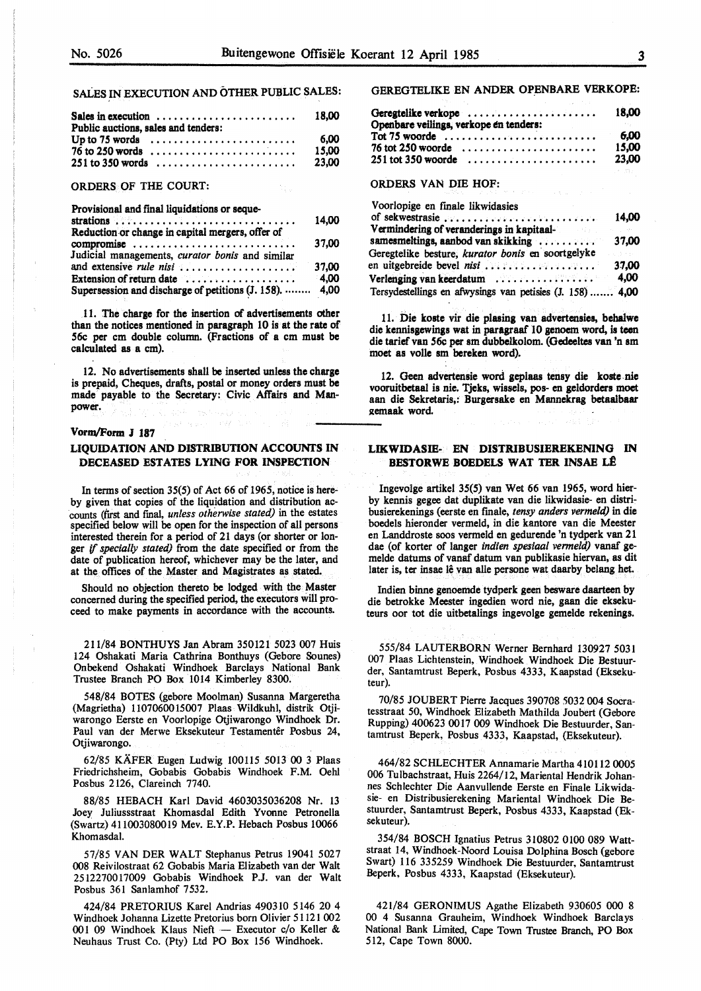#### SALES IN EXECUTION AND OTHER PUBLIC SALES:

| Sales in execution $\ldots \ldots \ldots \ldots \ldots \ldots$                                                                  | 18.00                  |
|---------------------------------------------------------------------------------------------------------------------------------|------------------------|
| Public auctions, sales and tenders:<br>Up to 75 words $\dots\dots\dots\dots\dots\dots\dots\dots\dots\dots$<br>$76$ to 250 words | 6,00<br>15.00<br>23,00 |
| ORDERS OF THE COURT:<br><b>STATE STATE</b>                                                                                      |                        |
| Provisional and final liquidations or seque-                                                                                    |                        |

| L'IOVISIONE GIN IMAI RUBRANONS OI SCURC                 | 14.00   |
|---------------------------------------------------------|---------|
| Reduction or change in capital mergers, offer of        |         |
| compromise                                              | 37.00   |
| Judicial managements, curator bonis and similar         |         |
| and extensive <i>rule nisi</i>                          | 37.00   |
| Extension of return date                                | $-4.00$ |
| Supersession and discharge of petitions (J. 158).  4,00 |         |

.11. The charge for the insertion of advertisements other than the notices mentioned in paragraph 10 is at the rate of 56c per cm double column. (Fractions of a cm must be calculated **as a** cm).

12. No advertisements shall **be inserted** unless **the charge**  is prepaid, Cheques, drafts, postal or money orders must be made payable to the Secretary: Civic Affairs and Manpower.

#### Vonn/Fonn J 187

## **LIQUIDATION AND DISTRIBUTION ACCOUNTS** IN **DECEASED ESTATES LYING FOR INSPECTION**

In terms of section 35(5) of Act 66 of 1965, notice is hereby given that copies of the liquidation and distribution accounts (first and fmal, *unless otherwise stated)* in the estates specified below will be open for the inspection of all persons interested therein for a period of 21 days (or shorter or longer if *specially stated)* from the date specified or from the date of publication hereof, whichever may be the later, and at the offices of the Master and Magistrates as stated.

Should no objection thereto be lodged with the Master concerned during the specified period, the executors will proceed to make payments in accordance with the accounts.

211/84 BONTHUYS Jan Abram 350121 5023 007 Huis 124 Oshakati Maria Cathrina Bonthuys (Gebore Sounes) Onbekend Oshakati Windhoek Barclays National Bank Trustee Branch PO Box 1014 Kimberley 8300.

548/84 BOTES (gebore Moolman) Susanna Margeretha (Magrietha) 1107060015007 Plaas Wildkuhl, distrik Otjiwarongo Eerste en Voorlopige Otjiwarongo Windhoek: Dr. Paul van der Merwe Eksekuteur Testamentêr Posbus 24, Otjiwarongo.

62/85 KAFER Eugen Ludwig 100115 5013 00 3 Plaas Friedrichsheim, Gobabis Gobabis Windhoek F.M. Oehl Posbus 2126, Clareinch 7740.

88/85 HEBACH Karl David 4603035036208 Nr. 13 Joey Juliussstraat Khomasdal Edith Yvonne Petronella (Swartz) 411003080019 Mev. E.Y.P. Hebach Posbus 10066 Khomasdal.

57/85 VAN DER WALT Stephanus Petrus 19041 5027 008 Reivilostraat 62 Gobabis Maria Elizabeth van der Walt 2512270017009 Gobabis Windhoek P.J. van der Walt Posbus 361 Sanlamhof 7532.

424/84 PRETORIUS Karel Andrias 490310 5146 20 4 Windhoek Johanna Lizette Pretorius born Olivier 51121 002 001 09 Windhoek Klaus Nieft - Executor c/o Keller & Neuhaus Trust Co. (Pty) Ltd PO Box 156 Windhoek.

#### GEREGTELIKE EN ANDER OPENBARE VERKOPE:

| Openbare veilings, verkope en tenders:                         | 18,00                  |
|----------------------------------------------------------------|------------------------|
| Tot 75 woorde<br>76 tot 250 woorde<br>$251$ tot 350 woorde     | 6.00<br>15,00<br>23,00 |
| <b>ORDERS VAN DIE HOF:</b><br>MARA MARA MARA DI SERIA DI SERIA | Christmas              |
| Voorlopige en finale likwidasies<br>of sekwestrasie            | 14.00                  |

|                                                           | 19.VV |
|-----------------------------------------------------------|-------|
| Vermindering of veranderings in kapitaal-                 |       |
| samesmeltings, aanbod van skikking                        | 37.00 |
| Geregtelike besture, kurator bonis en soortgelyke         |       |
| en uitgebreide bevel $n! \dots \dots \dots \dots \dots$   | 37.00 |
| Verlenging van keerdatum                                  | 4,00  |
| Tersydestellings en afwysings van petisies (J. 158)  4,00 |       |

11. Die koste vir die plasing van advertensies, **behalwe**  die kennisgewings wat in paragraaf 10 genoem word. is teen die tarief van 56c per sm dubbelkolom. (Oedeeltes van 'n am moet as volle am bereken word).

12. Geen advertensie word geplaas tensy die koste-nie vooruitbetaal is nie. Tjeks, wissels, pos- en geldorders moet aan die Sekretaris,: Burgersake en Mannekrag betaalbaar gemaak word.

## **LIKWIDASIE- EN DISTRIBUSIEREKENING** IN **BESTORWE BOEDELS WAT TER INSAE LÊ**

Ingevolge artikel 35(5) van Wet 66 van 1965, word bierby kennis gegee dat duplikate van die likwidasie- en distribusierekenings (eerste en finale, *tensy anders vermeld)* in die boedels hieronder vermeld, in die kantore van die Meester en Landdroste soos vermeld en gedurende 'n tydperk van 21 dae (of korter of langer *indien spesiaal vermeld)* vanaf gemelde datums of vanaf datum van publikasie hiervan, as dit later is, ter insae lê van alle persone wat daarby belang het.

Indien binne genoemde tydperk geen besware daarteen by die betrokke Meester ingedien word nie, gaan die eksekuteurs oor tot die uitbetalings ingevolge gemelde rekenings.

555/84 LAUTERBORN Werner Bernhard 130927 5031 007 Plaas Lichtenstein, Windhoek Windhoek: Die Bestuurder, Santamtrust Beperk, Posbus 4333, Kaapstad (Eksekuteur).

70/85 JOUBERT Pierre Jacques 390708 5032 004 Socratesstraat 50, Windhoek: Elizabeth Mathilda Joubert (Gebore Rupping) 400623 0017 009 Windhoek Die Bestuurder, Santamtrust Beperk, Posbus 4333, Kaapstad, (Eksekuteur).

464/82 SCHLECHTER Annamarie Martha 410112 0005 006 Tulbachstraat, Huis 2264/12, Mariental Hendrik: Johannes Schlechter Die Aanvullende Eerste en Finale Likwidasie- en Distribusierekening Mariental Windhoek Die Bestuurder, Santamtrust Beperk:, Posbus 4333, Kaapstad (Eksekuteur).

354/84 BOSCH Ignatius Petrus 310802 0100 089 Wattstraat 14, Windhoek-Noord Louisa Dolphina Bosch (gebore Swart) 116 335259 Windhoek Die Bestuurder, Santamtrust Beperk, Posbus 4333, Kaapstad (Eksekuteur).

421/84 GERONIMUS Agathe Elizabeth 930605 000 8 00 4 Susanna Grauheim, Windhoek Windhoek: Barclays National Bank Limited, Cape Town Trustee Branch, PO Box 512, Cape Town 8000.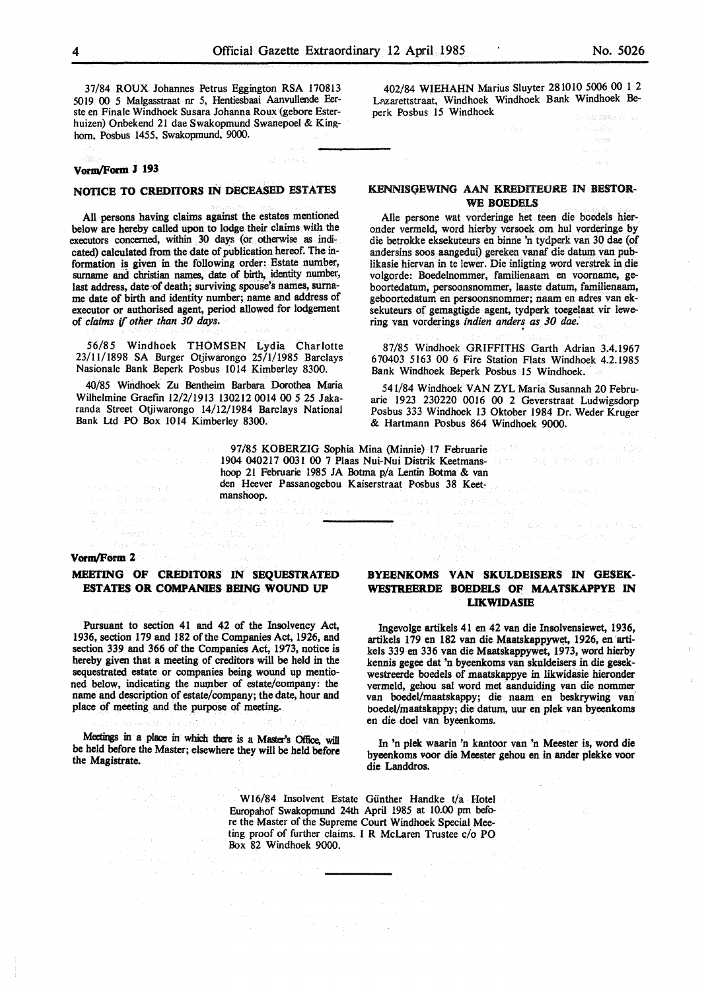37/84 ROUX Johannes Petrus Eggington RSA 170813 5019 00 5 Malgasstraat nr 5, Hentiesbaai Aanvullende Eerste en Finale Windhoek Susara Johanna Roux (gebore Esterhuizen) Onbekend 21 dae Swakopmund Swanepoel & Kinghorn. Posbus 1455, Swakopmund, 9000.

#### **vonw'Form J 193**

#### **NOTICE TO CREDITORS** IN **DECEASED ESTATES**

All persons having claims against the estates mentioned below are hereby called upon to lodge their claims with the executors concerned, within 30 days (or otherwise as indicated) calculated from the date of publication hereof. The information is given in the following order: Estate number, surname and christian names, date of birth, identity number, last address, date of death; surviving spouse's names, surname date of birth and identity number; name and address of executor or authorised agent, period allowed for lodgement of *claims* if *other than 30 days.* 

56/85 Windhoek THOMSEN Lydia Charlotte 23/11/1898 SA Burger Otjiwarongo 25/1/1985 Barclays Nasionale Bank Beperk Posbus 1014 Kimberley 8300.

40/85 Windhoek Zu Bentheim Barbara Dorothea Maria Wilhelmine Graefin 12/2/1913 130212 0014 00 5 25 Jakaranda Street Otjiwarongo 14/12/1984 Barclays National Bank Ud PO Box 1014 Kimberley 8300.

> 97/85 KOBERZIG Sophia Mina (Minnie) 17 Februarie 30 18 19 19 19 19 19 19 19 19 1904 040217 0031 00 7 Plaas Nui-Nui Distrik Keetmanshoop 21 Februarie 1985 JA Botma p/a Lentin Botma & van den Heever Passanogebou Kaiserstraat Posbus 38 Keetmanshoop.

#### **Vonw'Form 2**

 $\langle \sqrt{\epsilon_2} \rangle_{\rm{max}} = \sqrt{\epsilon}$ 

## **MEETING OF CREDITORS IN SEQUESTRATED ESTATES OR COMPANIES BEING WOUND UP**

Pursuant to section 41 and 42 of the Insolvency Act, 1936, section 179 and 182 of the Companies Act, 1926, and section 339 and 366 of the Companies Act, 1973, notice is hereby given that a meeting of creditors will be held in the sequestrated estate or companies being wound up mentioned below, indicating the number of estate/company: the name and description of estate/company; the date, hour and place of meeting and the purpose of meeting.

Meetings in a place in which there is a Master's Office, will be held before the Master; elsewhere they will be held before the Magistrate.

and service experience.

## **BYEENKOMS VAN SKULDEISERS** IN **GESEK-WESTREERDE BOEDELS OF MAATSKAPPYE** IN **IJKWIDASIB**

Ingevolge artikels 41 en 42 van die Insolvensiewet, 1936, artikels 179 en 182 van die Maatskappywet, 1926, en artikels 339 en 336 van die Maatskappywet, 1973, word hierby kennis gegee dat 'n byeenkoms van skuldeisers in die gesekwestreerde boedels of maatskappye in likwidasie hieronder vermeld, gehou sal word met aanduiding van die nommer van boedel/maatskappy; die naam en beskrywing van boedel/maatskappy; die datum, uur en plek van byeenkoms en die doe! van byeenkoms.

In 'n plek waarin 'n kantoor van 'n Meester is, word die byeenkoms voor die Meester gehou en in ander plekke voor die Landdros.

W16/84 Insolvent Estate Günther Handke  $t/a$  Hotel Europahof Swakopmund 24th April 1985 at 10.00 pm before the Master of the Supreme Court Windhoek Special Meeting proof of further claims. I R McLaren Trustee c/o PO Box 82 Windhoek 9000.

402/84 **WIEHAHN** Marius Sluyter 281010 5006 00 1 2 Lazarettstraat, Windhoek Windhoek Bank Windhoek Beperk Posbus 15 Windhoek

## **KENNISGEWING AAN KREDITEURE IN BESTOR-**WE **BOEDELS**

Alie persone wat vorderinge bet teen die boedels hieronder vermeld, word hierby versoek om hut vorderinge by die betrokke eksekuteurs en binne 'n tydperk van 30 dae (of andersins soos aangedui) gereken vanaf die datum van publikasie hiervan in te lewer. Die inligting word verstrek in die volgorde: Boedelnommer, familienaam en voorname, geboortedatum, persoonsnommer, laaste datum, familienaam, geboortedatum en persoonsnommer; naam en adres van eksekuteurs of gemagtigde agent, tydperk toegelaat vir lewering van vorderings *indien anders as 30 dae*.

87/85 Windhoek GRIFFITHS Garth Adrian 3.4.1967 670403 5163 00 6 Fire Station Flats Windhoek 4.2.1985 Bank Windhoek Beperk Posbus 15 Windhoek.

541/84 Windhoek VAN ZYL Maria Susannah 20 Februarie 1923 230220 0016 00 2 Geverstraat Ludwigsdorp Posbus 333 Windhoek 13 Oktober 1984 Dr. Weder Kruger & Hartmann Posbus 864 Windhoek 9000.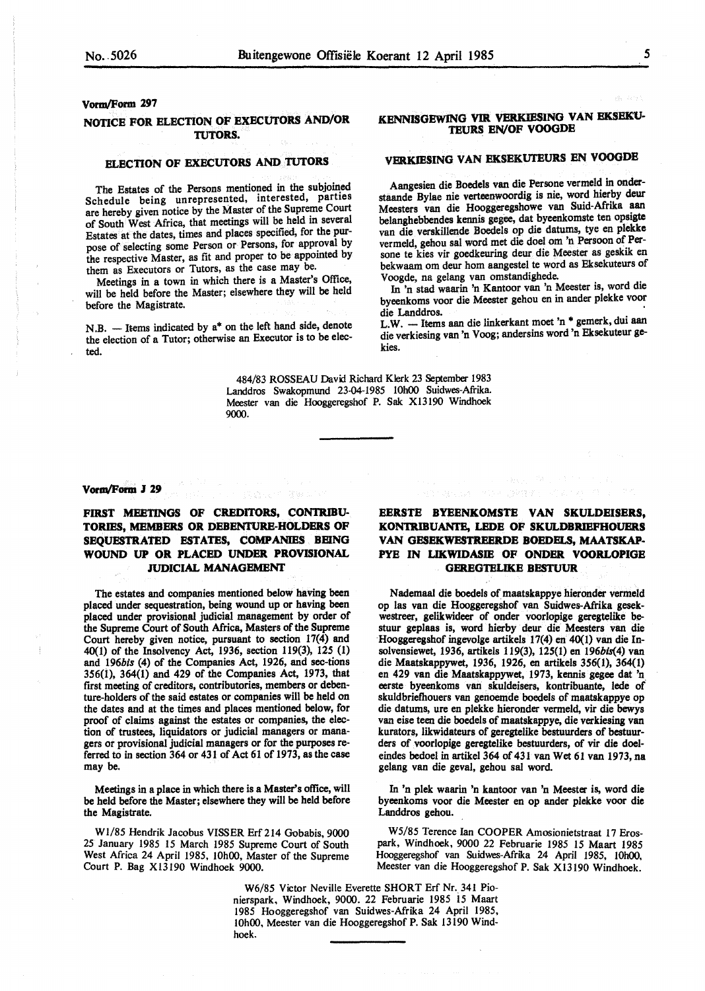## **Vorm/Form 297**

## **NOTICE FOR ELECTION OF EXECUTORS AND/OR TUTORS.**

## **ELECTION OF EXECUTORS AND TUTORS**

The Estates of the Persons mentioned in the subjoined Schedule being unrepresented, interested, parties are hereby given notice by the Master of the Supreme Court of South West Africa, that meetings will be held in several Estates at the dates, times and places specified, for the purpose of selecting some Person or Persons, for approval by the respective Master, as fit and proper to be appointed by them as Executors or Tutors, as the case may be.

Meetings in a town in which there is a Master's Office, will be held before the Master; elsewhere they will be held before the Magistrate.

N.B. - Items indicated by a\* on the left hand side, denote the election of a Tutor; otherwise an Executor is to be elected.

## **.KENNISGEWJNG VIR VERKIBSING VAN EKSEK1J-TEURS EN/OF VOOGDE**

## **VERKJESING VAN EKSEKUTEURS** EN **VOOGDE**

Aangesien die Boedels van die Persone vermeld in onderstaande Bylae nie verteenwoordig is nie, word hierby deur Meesters van die Hooggeregshowe van Suid-Afrilca aan belanghebbendes kennis gegee, dat byeenkomste ten opsigte van die verskillende Boedels op die datums, tye en plekke vermeld, gehou sal word met die doel om 'n Persoon of **Per** sone te kies vir goedkeuring deur die Meester as geskik en bekwaam om deur horn aangestel te word as Eksekuteurs of Voogde, na gelang van omstandighede.

In 'n stad waarin 'n Kantoor van 'n Meester is, word die byeenkoms voor die Meester gehou en in ander plekke voor

die Landdros.<br>L.W. - Items aan die linkerkant moet 'n \* gemerk, dui aan die verkiesing van 'n Voog; andersins word 'n Eksekuteur gekies.

484/83 ROSSEAU David Richard Klerk 23 September 1983 Landdros Swakopmund 23-04-1985 10h00 Suidwes-Afrika. Meester van die Hooggeregshof P. Sak Xl3190 Windhoek 9000.

#### **Vorm/Form** *I* 29

**FIRST MEETINGS OF CREDITORS, CONTRIBU-TORIES, MEMBERS OR DEBENTURE-HOLDERS OF SEQUESTRATED ESTATES, COMPANIES BEING WOUND UP OR PLACED UNDER PROVISIONAL JUDICIAL MANAGEMENT** 

The estates and companies mentioned below having been placed under sequestration, being wound up or having been placed under provisional judicial management by order of the Supreme Court of South Africa, Masters of the Supreme Court hereby given notice, pursuant to section 17(4) and 40(1) of the Insolvency Act, 1936, section 119(3), 125 (1) and 196bis (4) of the Companies Act, 1926, and sec-tions 356(1), 364(1) and 429 of the Companies Act, 1973, that first meeting of creditors, contributories, members or debenture-holders of the said estates or companies will be held on the dates and at the times and places mentioned below, for proof of claims against the estates or companies, the election of trustees, liquidators or judicial managers or managers or provisional judicial managers or for the purposes referred to in section 364 or 431 of Act 61 of 1973, as the case may be.

Meetings in a place in which there is a Master's office, will be held before the Master; elsewhere they will be held before the Magistrate.

W1/85 Hendrik Jacobus VISSER Erf 214 Gobabis, 9000 25 January 1985 15 March 1985 Supreme Court of South West Africa 24 April 1985, 10h00, Master of the Supreme Court P. Bag Xl3190 Windhoek 9000.

## **EERSTE BYSENKOMSTE VAN SKULDEISERS, KONTRIBUANTE, LEDE OF SKULDBRIEFHOUERS VAN GESEKWESTREERDE BOEDELS, MAATSKAP-PYE IN LIKWIDASIB OF ONDER VOORLOPIGE GEREGTELIKE BESTUUR**

Nademaal die boedels of maatskappye hieronder vermeld op las van die Hooggeregshof van Suidwes-Afrika **gesek**westreer, gelikwideer of onder voorlopige geregtelike bestuur geplaas is, word hierby deur die Meesters van die Hooggeregshof ingevolge artikels 17(4) en 40(1) van die Insolvensiewet, 1936, artikels 119(3), 125(1) en 196bis(4) van die Maatskappywet, 1936, 1926, en artikels 356(1), 364(1) en 429 van die Maatskappywet, 1973, kennis gegee dat 'n. eerste byeenkoms van skuldeisers, kontribuante, lede of skuldbriefhouers van genoemde boedels of maatskappye op die datums, ure en plekke hieronder vermeld, vir die bewys van eise teen die boedels of maatskappye, die verkiesing van kurators, likwidateurs of geregtelike bestuurders of bestuurders of voorlopige geregtelike bestuurders, of vir die doeleindes bedoel in artikel 364 of 431 van Wet 61 van 1973, na gelang van die geval, gehou sal word.

In 'n plek waarin 'n kantoor van 'n Meester is, word die byeenkoms voor die Meester en op ander plekke voor die Landdros gehou.

W5/85 Terence Ian COOPER Amosionietstraat 17 Erospark, Windhoek, 9000 22 Februarie 1985 15 Maart 1985 Hooggeregshof van Suidwes-Afrika 24 April 1985, 10h00, Meester van die Hooggeregshof P. Sak Xl3190 Windhoek.

W6/85 Victor Neville Everette SHORT Erf Nr. 341 Pionierspark, Windhoek, 9000. 22 Februarie 1985 i5 Maart 1985 Hooggeregshof van Suidwes-Afrika 24 April 1985, 10h00, Meester van die Hooggeregshof P. Sak 13190 Windhoek.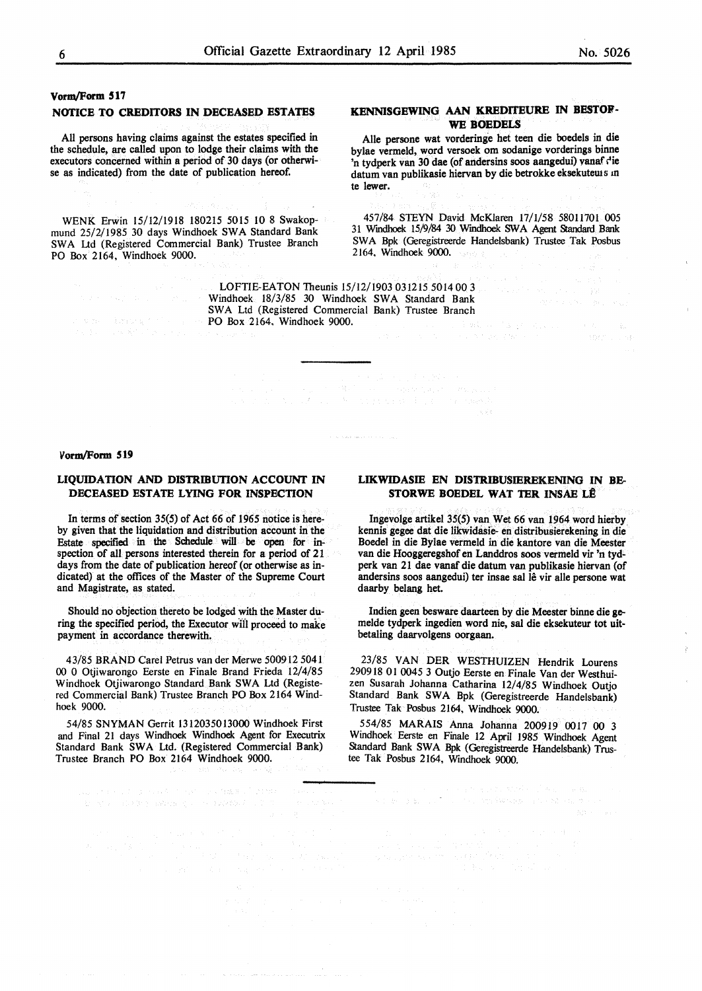## **NOTICE TO CREDITORS IN DECEASED ESTATES**

All persons having claims against the estates specified in the schedule, are called upon to lodge their claims with the executors concerned within a period of 30 days (or otherwise as indicated) from the date of publication hereof.

WENK Erwin 15/12/1918 180215 5015 IO 8 Swakopmund 25/2/1985 30 days Windhoek SWA Standard Bank SWA Ltd (Registered Commercial Bank) Trustee Branch PO Box 2164, Windhoek 9000.

## **KENNISGEWING AAN KREDITEURE** IN **BESTOP-WE BOEDELS**

Aile persone wat vorderinge het teen die boedels in die bylae vermeld, word versoek om sodanige vorderings binne 'n tydperk van 30 dae (of andersins soos aangedui) vanaf die datum van publikasie hiervan by die betrokke eksekutews m te lewer.

457/84 STEYN David McKlaren 17/1/58 58011701 005 31 Wmdhoek 15/9/84 30 Wmdhoek SWA Agent Standard Bank SWA Bpk (Geregistreerde Handelsbank) Trustee Tak Posbus 2164. Windhoek 9000.

in a shekarar 2007.<br>Matukio

 $\label{eq:1.1} \frac{d}{dt} \Delta_{t+1} \delta_{t+1} \delta_{t+1} \delta_{t+1} \delta_{t+1} \delta_{t+1} \delta_{t+1} \delta_{t+1} \delta_{t+1} \delta_{t+1}$ 

 $\sim k_{\rm m}$ 

ĝ

LOFTIE-EATON Theunis 15/12/1903 031215 5014 00 3 Windhoek 18/3/85 30 Windhoek SWA Standard Bank SWA Ltd (Registered Commercial Bank) Trustee Branch PO Box 2164, Windhoek 9000.

#### **Vorm/Form 519**

## **LIQUIDATION AND DISTRIBUTION ACCOUNT** IN **DECEASED ESTATE LYING FOR INSPECTION**

In terms of section 35(5) of Act 66 of 1965 notice is hereby given that the liquidation and distribution account in the Estate specified in the Schedule will be open for inspection of all persons interested therein for a period of 21 days from the date of publication hereof (or otherwise as indicated) at the offices of the Master of the Supreme Court and Magistrate, as stated.

Should no objection thereto be lodged with the Master during the specified period, the Executor will proceed to make payment in accordance therewith.

43/85 BRAND Carel Petrus van der Merwe 500912 5041 00 0 Otjiwarongo Eerste en Finale Brand Frieda 12/4/85 Windhoek Otjiwarongo Standard Bank SWA Ltd (Registered Commercial Bank) Trustee Branch PO Box 2164 Windhoek 9000.

54/85 **SNYMAN** Gerrit 1312035013000 Windhoek First and Final 21 days Windhoek Windhoek Agent for Executrix Standard Bank SWA Ltd. (Registered Commercial Bank) Trustee Branch PO Box 2164 Windhoek 9000.

## **LIKWIDASIE** EN **DISTRIBUSIEREKENING** IN **BE-STORWE BOEDEL WAT TER INSAE LÊ**

Ingevolge artikel 35(5) van Wet 66 van 1964 word hierby kennis gegee dat die likwidasie- en distribusierekening in die Boedel in die Bylae vermeld in die kantore van die Meester van die Hooggeregshof en Landdros soos vermeld vir 'n tydperk van 21 dae vanaf die datum van publikasie hiervan (of andersins soos aangedui) ter insae sal lê vir alle persone wat daarby belang het.

Indien geen besware daarteen by die Meester binne die gemelde tydperk ingedien word nie, sal die eksekuteur tot uit**betaling daarvolgens oorgaan.** 

23/85 VAN DER WESTHUIZEN Hendrik Lourens 290918 01 0045 3 Outjo Eerste en Finale Van der Westhuizen Susarah Johanna Catharina 12/4/85 Windhoek Outjo Standard Bank SWA Bpk (Geregistreerde Handelsbank) Trustee Tak Posbus 2164, Windhoek 9000.

554/85 **MARAIS** Anna Johanna 200919 0017 00 3 Windhoek Eerste en Finale 12 April 1985 Windhoek Agent Standard Bank SWA Bpk (Geregistreerde Handelsbank) Trustee Tak Posbus 2164, Windhoek 9000.

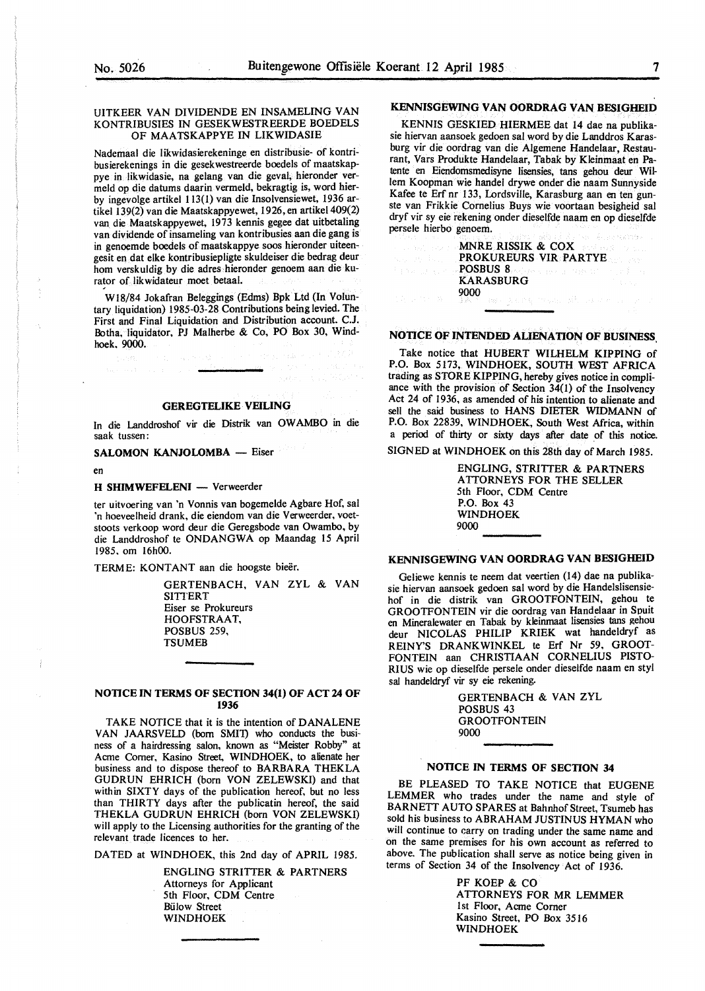## UITKEER VAN DIVIDENDE EN INSAMELING VAN KONTRIBUSIES IN GESEKWESTREERDE BOEDELS OF MAATSKAPPYE IN LIKWIDASIE

Nademaal die likwidasierekeninge en distribusie- of kontribusierekenings in die gesekwestreerde boedels of maatskappye in Iikwidasie, na gelang van die geval, hieronder vermeld op die datums daarin vermeld, bekragtig is, word hierby ingevolge artikel 113(1) van die Insolvensiewet, 1936 artikel l 39(2) van die Maatskappyewet, l 926, en artikel 409(2) van die Maatskappyewet, 1973 kennis gegee dat uitbetaling van dividende of insameling van kontribusies aan die gang is in genoemde boedels of maatskappye soos hieronder uiteengesit en dat elke kontribusiepligte skuldeiser die bedrag deur horn verskuldig by die adres hieronder genoem aan die kurator of likwidateur moet betaal.

WlS/84 Jokafran Beleggings (Edms) Bpk Ltd (In Voluntary liquidation) 1985-03-28 Contributions being levied. The First and Final Liquidation and Distribution account. C.J. Botha, liquidator, PJ Malherbe & Co, PO Box 30, Windhoek, 9000.

#### **GEREGTELIKE· VEILING**

In die Landdroshof vir die Distrik van OW AMBO in die saak tussen:

**SALOMON KANJOLOMBA** - Eiser

en

## **H SHIMWEFELENI** - Verweerder

ter uitvoering van 'n Vonnis van bogemelde Agbare Hof, sal 'n hoeveelheid drank, die eiendom van die Verweerder, voetstoots verkoop word deur die Geregsbode van Owambo, by die Landdroshof te **ONDANGWA** op Maandag 15 April 1985, om 16h00.

TERME: KONTANT aan die hoogste bieër.

GERTENBACH, VAN ZYL & VAN **SITTERT** Eiser se Prokureurs HOOFSTRAAT, POSBUS 259, TSUMEB

## **NOTICE IN TERMS OF SECTION 34(1) OF ACT 24 OF 1936**

TAKE NOTICE that it is the intention of DANALENE VAN JAARSVELD (born SMI1) who conducts the business of a hairdressing salon, known as "Meister Robby" at Acme Comer, Kasino Street, WINDHOEK, to alienate her business and to dispose thereof to BARBARA THEKLA GUDRUN EHRICH (born VON ZELEWSKI) and that within SIXTY days of the publication hereof, but no less than THIRTY days after the publicatin hereof, the said THEKLA GUDRUN EHRICH (born VON ZELEWSKI) will apply to the Licensing authorities for the granting of the relevant trade licences to her.

DATED at WINDHOEK, this 2nd day of APRIL 1985.

ENGLING STRITTER & PARTNERS Attorneys for Applicant 5th Floor, CDM Centre Biilow Street WINDHOEK

## **KENNISGEWING VAN OORDRAG VAN BESIGHEID**

KENNIS GESKIED HIERMEE dat 14 dae na publikasie hiervan aansoek gedoen sal word by die Landdros Karasburg vir die oordrag van die Algemene Handelaar, Restaurant, Vars Produkte Handelaar, Tabak by Kleinmaat en Patente en Eiendomsmedisyne lisensies, tans gehou deur Willem Koopman wie handel drywe onder die naam Sunnyside Kafee te Erf nr 133, Lordsville, Karasburg aan en ten gunste van Frikkie Cornelius Buys wie voortaan besigheid sal dryf vir sy eie rekening onder dieselfde naam en op dieselfde persele hierbo genoem. **MARE READERS** AND ALL ASSESSED AND RELEASED AND RELEASED AND RELEASED AND RELEASED AND RELEASED AND RELEASED AND RELEASED AND RELEASED AND RELEASED AND RELEASED AND RELEASED AND RELEASED AND RELEASED AND RELEASED AND RELE

| MNRE RISSIK & COX                           |  |
|---------------------------------------------|--|
| <b>PROKUREURS VIR PARTYE</b>                |  |
| <b>POSBUS 8</b> and the company of the      |  |
| <b>KARASBURG</b>                            |  |
| 9000                                        |  |
| 東海の キャン (無点) しゅうしゃ アクセット・ディー しゅうきょうしょ しゅうぶん |  |

## **NOTICE OF INTENDED ALIENATION OF BUSINESS,**

Take notice that HUBERT WILHELM KIPPING of P.O. Box 5173, WINDHOEK, SOUTH WEST AFRICA trading as STORE KIPPING, hereby gives notice in compliance with the provision of Section  $34(1)$  of the Insolvency Act 24 of 1936, as amended of his intention to alienate and sell the said business to HANS DIETER WIDMANN of P.O. Box 22839, WINDHOEK, South West Africa, within a period of thirty or sixty days after date of this notice.

SIGNED at WINDHOEK on this 28th day of March 1985.

ENGLING, STRITTER & PARTNERS ATTORNEYS FOR THE SELLER 5th Floor, CDM Centre P.O. Box 43 WINDHOEK 9000

## **KENNISGEWING VAN OORDRAG VAN BESIGHEID**

Geliewe kennis te neem dat veertien (14) dae na publikasie hiervan aansoek gedoen sal word by die Handelslisensiehof in die distrik van GROOTFONTEIN, gehou te GROOTFONTEIN vir die oordrag van Handelaar in Spuit en Mineralewater en Tabak by kleinmaat lisensies tans gehou deur NICOLAS PHILIP KRIEK wat handeldryf as REINY'S DRANKWINKEL te Erf Nr 59, GROOT-FONTEIN aan CHRISTIAAN CORNELIUS PISTO-RIUS wie op dieselfde persele onder dieselfde naam en sty! sal handeldryf vir sy eie rekening.

> GERTENBACH & VAN ZYL POSBUS 43 **GROOTFONTEIN** 9000

## **NOTICE** IN **TERMS OF SECTION 34**

BE PLEASED TO TAKE NOTICE that EUGENE LEMMER who trades under the name and style of BARNETT AUTO SPARES at Bahnhof Street, Tsumeb has sold his business to ABRAHAM JUSTINUS HYMAN who will continue to carry on trading under the same name and on the same premises for his own account as referred to above. The publication shall serve as notice being given in terms of Section 34 of the Insolvency Act of 1936.

> PF KOEP & CO ATTORNEYS FOR MR LEMMER 1st Floor, Acme Corner Kasino Street, PO Box 3516 WINDHOEK